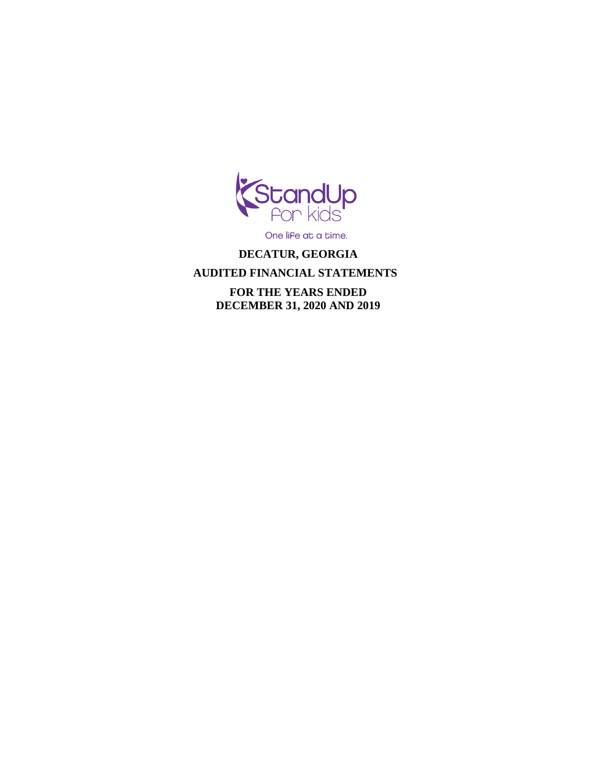

One life at a time.

## **DECATUR, GEORGIA**

# **AUDITED FINANCIAL STATEMENTS**

 **FOR THE YEARS ENDED DECEMBER 31, 2020 AND 2019**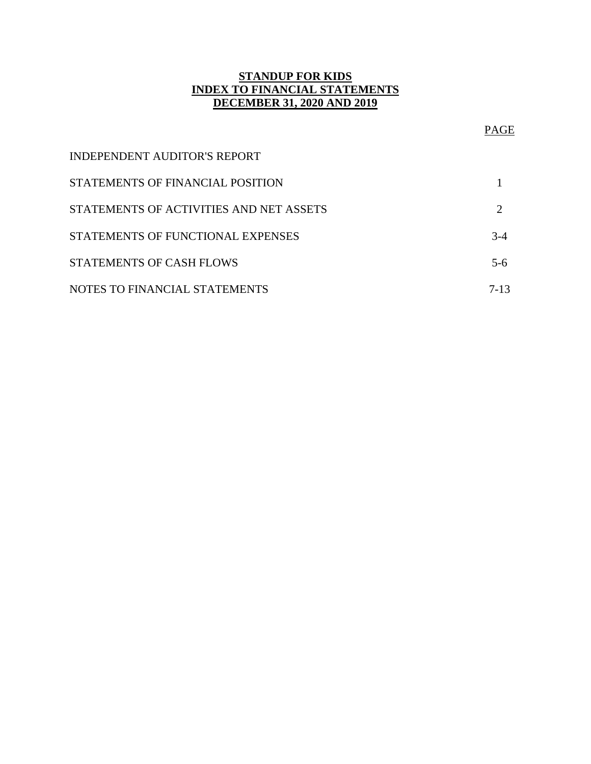## **STANDUP FOR KIDS INDEX TO FINANCIAL STATEMENTS DECEMBER 31, 2020 AND 2019**

# PAGE

| <b>INDEPENDENT AUDITOR'S REPORT</b>     |       |
|-----------------------------------------|-------|
| STATEMENTS OF FINANCIAL POSITION        |       |
| STATEMENTS OF ACTIVITIES AND NET ASSETS |       |
| STATEMENTS OF FUNCTIONAL EXPENSES       | $3-4$ |
| <b>STATEMENTS OF CASH FLOWS</b>         | $5-6$ |
| NOTES TO FINANCIAL STATEMENTS           | 7-13  |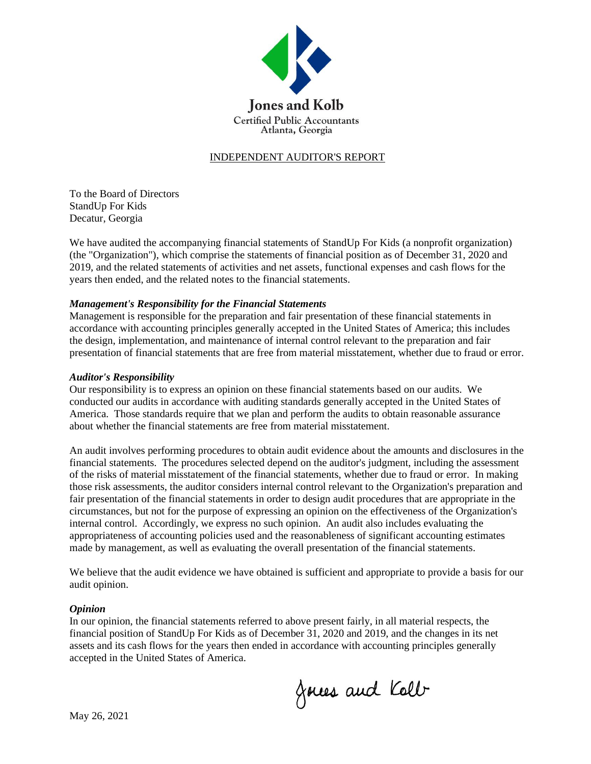

## INDEPENDENT AUDITOR'S REPORT

To the Board of Directors StandUp For Kids Decatur, Georgia

We have audited the accompanying financial statements of StandUp For Kids (a nonprofit organization) (the "Organization"), which comprise the statements of financial position as of December 31, 2020 and 2019, and the related statements of activities and net assets, functional expenses and cash flows for the years then ended, and the related notes to the financial statements.

#### *Management's Responsibility for the Financial Statements*

Management is responsible for the preparation and fair presentation of these financial statements in accordance with accounting principles generally accepted in the United States of America; this includes the design, implementation, and maintenance of internal control relevant to the preparation and fair presentation of financial statements that are free from material misstatement, whether due to fraud or error.

#### *Auditor's Responsibility*

Our responsibility is to express an opinion on these financial statements based on our audits. We conducted our audits in accordance with auditing standards generally accepted in the United States of America. Those standards require that we plan and perform the audits to obtain reasonable assurance about whether the financial statements are free from material misstatement.

An audit involves performing procedures to obtain audit evidence about the amounts and disclosures in the financial statements. The procedures selected depend on the auditor's judgment, including the assessment of the risks of material misstatement of the financial statements, whether due to fraud or error. In making those risk assessments, the auditor considers internal control relevant to the Organization's preparation and fair presentation of the financial statements in order to design audit procedures that are appropriate in the circumstances, but not for the purpose of expressing an opinion on the effectiveness of the Organization's internal control. Accordingly, we express no such opinion. An audit also includes evaluating the appropriateness of accounting policies used and the reasonableness of significant accounting estimates made by management, as well as evaluating the overall presentation of the financial statements.

We believe that the audit evidence we have obtained is sufficient and appropriate to provide a basis for our audit opinion.

#### *Opinion*

In our opinion, the financial statements referred to above present fairly, in all material respects, the financial position of StandUp For Kids as of December 31, 2020 and 2019, and the changes in its net assets and its cash flows for the years then ended in accordance with accounting principles generally accepted in the United States of America.

Joues and Kolb

May 26, 2021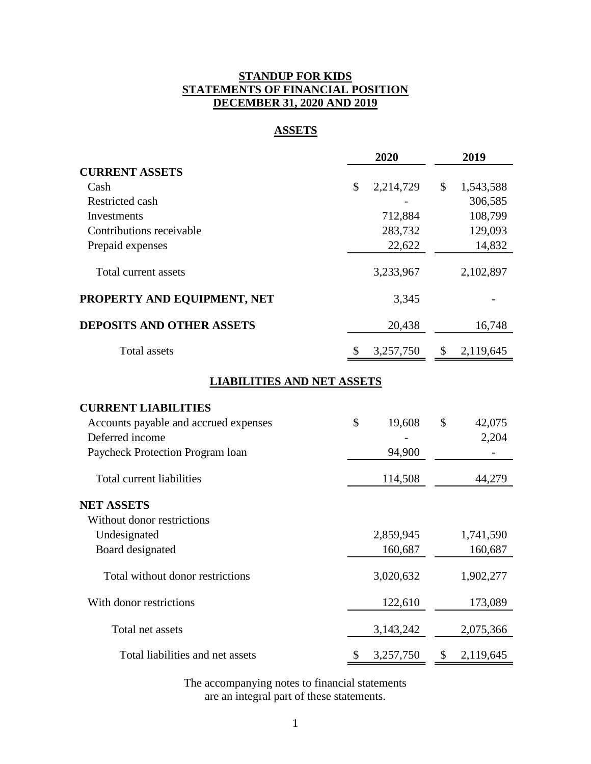## **STANDUP FOR KIDS STATEMENTS OF FINANCIAL POSITION DECEMBER 31, 2020 AND 2019**

## **ASSETS**

|                                       | 2020            | 2019            |
|---------------------------------------|-----------------|-----------------|
| <b>CURRENT ASSETS</b>                 |                 |                 |
| Cash                                  | \$<br>2,214,729 | \$<br>1,543,588 |
| Restricted cash                       |                 | 306,585         |
| Investments                           | 712,884         | 108,799         |
| Contributions receivable              | 283,732         | 129,093         |
| Prepaid expenses                      | 22,622          | 14,832          |
| Total current assets                  | 3,233,967       | 2,102,897       |
| PROPERTY AND EQUIPMENT, NET           | 3,345           |                 |
| <b>DEPOSITS AND OTHER ASSETS</b>      | 20,438          | 16,748          |
| <b>Total assets</b>                   | \$<br>3,257,750 | \$<br>2,119,645 |
| <b>LIABILITIES AND NET ASSETS</b>     |                 |                 |
| <b>CURRENT LIABILITIES</b>            |                 |                 |
| Accounts payable and accrued expenses | \$<br>19,608    | \$<br>42,075    |
| Deferred income                       |                 | 2,204           |
| Paycheck Protection Program loan      | 94,900          |                 |
| Total current liabilities             | 114,508         | 44,279          |
| <b>NET ASSETS</b>                     |                 |                 |
| Without donor restrictions            |                 |                 |
| Undesignated                          | 2,859,945       | 1,741,590       |
| Board designated                      | 160,687         | 160,687         |
| Total without donor restrictions      | 3,020,632       | 1,902,277       |
| With donor restrictions               | 122,610         | 173,089         |
| Total net assets                      | 3, 143, 242     | 2,075,366       |
| Total liabilities and net assets      | \$<br>3,257,750 | \$<br>2,119,645 |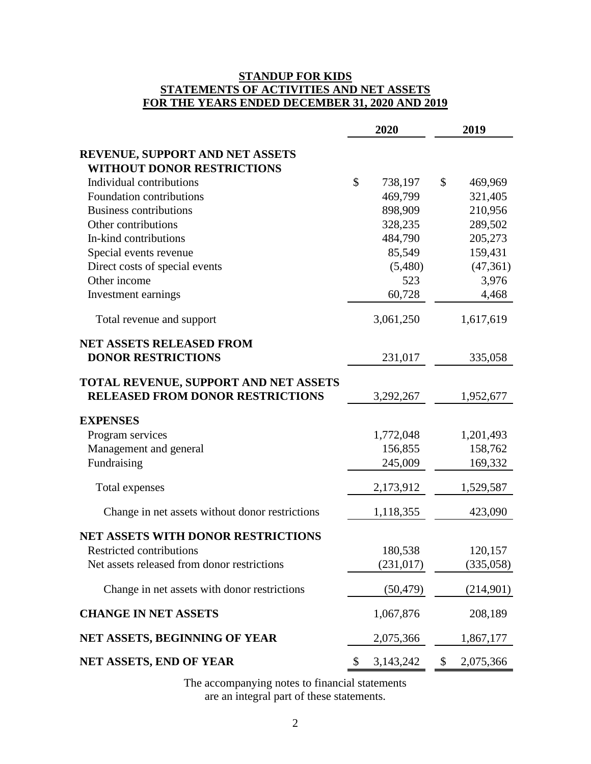## **STANDUP FOR KIDS STATEMENTS OF ACTIVITIES AND NET ASSETS FOR THE YEARS ENDED DECEMBER 31, 2020 AND 2019**

|                                                                                  |               | 2020        | 2019 |           |  |
|----------------------------------------------------------------------------------|---------------|-------------|------|-----------|--|
| REVENUE, SUPPORT AND NET ASSETS<br><b>WITHOUT DONOR RESTRICTIONS</b>             |               |             |      |           |  |
| Individual contributions                                                         | $\mathcal{S}$ | 738,197     | \$   | 469,969   |  |
| Foundation contributions                                                         |               | 469,799     |      | 321,405   |  |
| <b>Business contributions</b>                                                    |               | 898,909     |      | 210,956   |  |
| Other contributions                                                              |               | 328,235     |      | 289,502   |  |
| In-kind contributions                                                            |               | 484,790     |      | 205,273   |  |
| Special events revenue                                                           |               | 85,549      |      | 159,431   |  |
| Direct costs of special events                                                   |               | (5,480)     |      | (47, 361) |  |
| Other income                                                                     |               | 523         |      | 3,976     |  |
| Investment earnings                                                              |               | 60,728      |      | 4,468     |  |
| Total revenue and support                                                        |               | 3,061,250   |      | 1,617,619 |  |
| <b>NET ASSETS RELEASED FROM</b><br><b>DONOR RESTRICTIONS</b>                     |               | 231,017     |      | 335,058   |  |
| TOTAL REVENUE, SUPPORT AND NET ASSETS<br><b>RELEASED FROM DONOR RESTRICTIONS</b> |               | 3,292,267   |      | 1,952,677 |  |
| <b>EXPENSES</b>                                                                  |               |             |      |           |  |
| Program services                                                                 |               | 1,772,048   |      | 1,201,493 |  |
| Management and general                                                           |               | 156,855     |      | 158,762   |  |
| Fundraising                                                                      |               | 245,009     |      | 169,332   |  |
| Total expenses                                                                   |               | 2,173,912   |      | 1,529,587 |  |
| Change in net assets without donor restrictions                                  |               | 1,118,355   |      | 423,090   |  |
| <b>NET ASSETS WITH DONOR RESTRICTIONS</b>                                        |               |             |      |           |  |
| Restricted contributions                                                         |               | 180,538     |      | 120,157   |  |
| Net assets released from donor restrictions                                      |               | (231, 017)  |      | (335,058) |  |
| Change in net assets with donor restrictions                                     |               | (50, 479)   |      | (214,901) |  |
| <b>CHANGE IN NET ASSETS</b>                                                      |               | 1,067,876   |      | 208,189   |  |
| NET ASSETS, BEGINNING OF YEAR                                                    |               | 2,075,366   |      | 1,867,177 |  |
| NET ASSETS, END OF YEAR                                                          | \$            | 3, 143, 242 | \$   | 2,075,366 |  |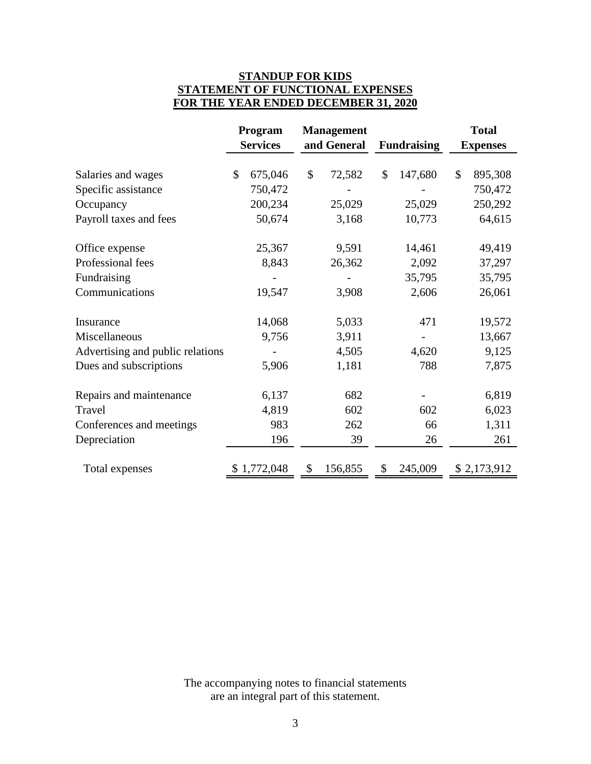## **STANDUP FOR KIDS STATEMENT OF FUNCTIONAL EXPENSES FOR THE YEAR ENDED DECEMBER 31, 2020**

|                                  | <b>Management</b><br>Program |                                   |         |                 | <b>Total</b> |    |             |
|----------------------------------|------------------------------|-----------------------------------|---------|-----------------|--------------|----|-------------|
|                                  | <b>Services</b>              | and General<br><b>Fundraising</b> |         | <b>Expenses</b> |              |    |             |
| Salaries and wages               | \$<br>675,046                | $\mathcal{S}$                     | 72,582  | \$              | 147,680      | \$ | 895,308     |
| Specific assistance              | 750,472                      |                                   |         |                 |              |    | 750,472     |
| Occupancy                        | 200,234                      |                                   | 25,029  |                 | 25,029       |    | 250,292     |
| Payroll taxes and fees           | 50,674                       |                                   | 3,168   |                 | 10,773       |    | 64,615      |
| Office expense                   | 25,367                       |                                   | 9,591   |                 | 14,461       |    | 49,419      |
| Professional fees                | 8,843                        |                                   | 26,362  |                 | 2,092        |    | 37,297      |
| Fundraising                      |                              |                                   |         |                 | 35,795       |    | 35,795      |
| Communications                   | 19,547                       |                                   | 3,908   |                 | 2,606        |    | 26,061      |
| Insurance                        | 14,068                       |                                   | 5,033   |                 | 471          |    | 19,572      |
| Miscellaneous                    | 9,756                        |                                   | 3,911   |                 |              |    | 13,667      |
| Advertising and public relations |                              |                                   | 4,505   |                 | 4,620        |    | 9,125       |
| Dues and subscriptions           | 5,906                        |                                   | 1,181   |                 | 788          |    | 7,875       |
| Repairs and maintenance          | 6,137                        |                                   | 682     |                 |              |    | 6,819       |
| Travel                           | 4,819                        |                                   | 602     |                 | 602          |    | 6,023       |
| Conferences and meetings         | 983                          |                                   | 262     |                 | 66           |    | 1,311       |
| Depreciation                     | 196                          |                                   | 39      |                 | 26           |    | 261         |
| Total expenses                   | 1,772,048                    |                                   | 156,855 | \$              | 245,009      |    | \$2,173,912 |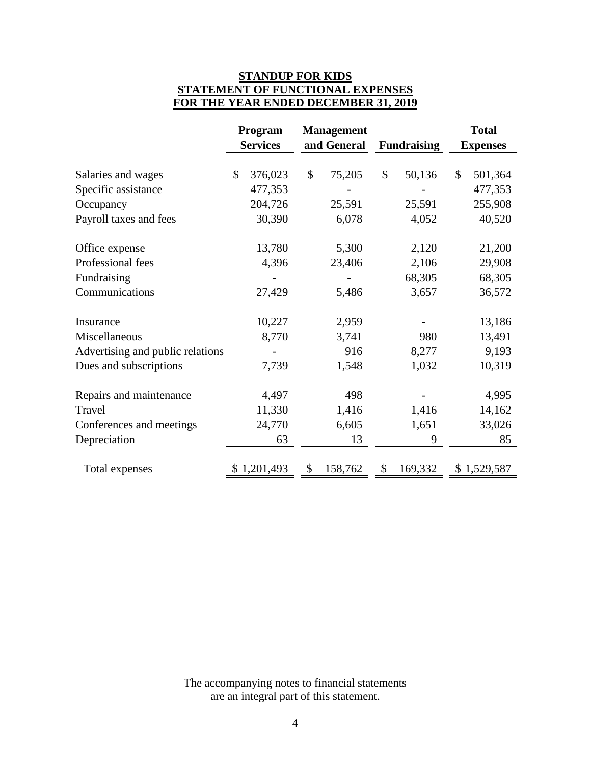## **STANDUP FOR KIDS STATEMENT OF FUNCTIONAL EXPENSES FOR THE YEAR ENDED DECEMBER 31, 2019**

|                                  | <b>Management</b><br>Program |                 |                                   |    | <b>Total</b> |                 |             |
|----------------------------------|------------------------------|-----------------|-----------------------------------|----|--------------|-----------------|-------------|
|                                  |                              | <b>Services</b> | and General<br><b>Fundraising</b> |    |              | <b>Expenses</b> |             |
| Salaries and wages               | $\mathcal{S}$                | 376,023         | \$<br>75,205                      | \$ | 50,136       | $\mathcal{S}$   | 501,364     |
| Specific assistance              |                              | 477,353         |                                   |    |              |                 | 477,353     |
| Occupancy                        |                              | 204,726         | 25,591                            |    | 25,591       |                 | 255,908     |
| Payroll taxes and fees           |                              | 30,390          | 6,078                             |    | 4,052        |                 | 40,520      |
| Office expense                   |                              | 13,780          | 5,300                             |    | 2,120        |                 | 21,200      |
| Professional fees                |                              | 4,396           | 23,406                            |    | 2,106        |                 | 29,908      |
| Fundraising                      |                              |                 |                                   |    | 68,305       |                 | 68,305      |
| Communications                   |                              | 27,429          | 5,486                             |    | 3,657        |                 | 36,572      |
| Insurance                        |                              | 10,227          | 2,959                             |    |              |                 | 13,186      |
| Miscellaneous                    |                              | 8,770           | 3,741                             |    | 980          |                 | 13,491      |
| Advertising and public relations |                              |                 | 916                               |    | 8,277        |                 | 9,193       |
| Dues and subscriptions           |                              | 7,739           | 1,548                             |    | 1,032        |                 | 10,319      |
| Repairs and maintenance          |                              | 4,497           | 498                               |    |              |                 | 4,995       |
| Travel                           |                              | 11,330          | 1,416                             |    | 1,416        |                 | 14,162      |
| Conferences and meetings         |                              | 24,770          | 6,605                             |    | 1,651        |                 | 33,026      |
| Depreciation                     |                              | 63              | 13                                |    | 9            |                 | 85          |
|                                  |                              |                 |                                   | \$ |              |                 |             |
| Total expenses                   |                              | 1,201,493       | \$<br>158,762                     |    | 169,332      |                 | \$1,529,587 |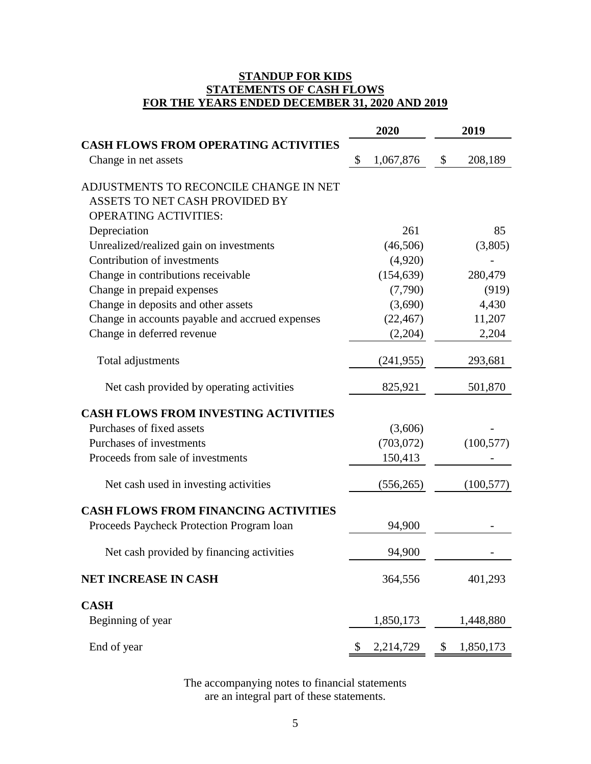## **STANDUP FOR KIDS STATEMENTS OF CASH FLOWS FOR THE YEARS ENDED DECEMBER 31, 2020 AND 2019**

|                                                 | 2020            | 2019            |
|-------------------------------------------------|-----------------|-----------------|
| <b>CASH FLOWS FROM OPERATING ACTIVITIES</b>     |                 |                 |
| Change in net assets                            | \$<br>1,067,876 | \$<br>208,189   |
| ADJUSTMENTS TO RECONCILE CHANGE IN NET          |                 |                 |
| ASSETS TO NET CASH PROVIDED BY                  |                 |                 |
| <b>OPERATING ACTIVITIES:</b>                    |                 |                 |
| Depreciation                                    | 261             | 85              |
| Unrealized/realized gain on investments         | (46,506)        | (3,805)         |
| Contribution of investments                     | (4,920)         |                 |
| Change in contributions receivable              | (154, 639)      | 280,479         |
| Change in prepaid expenses                      | (7,790)         | (919)           |
| Change in deposits and other assets             | (3,690)         | 4,430           |
| Change in accounts payable and accrued expenses | (22, 467)       | 11,207          |
| Change in deferred revenue                      | (2,204)         | 2,204           |
| Total adjustments                               | (241, 955)      | 293,681         |
| Net cash provided by operating activities       | 825,921         | 501,870         |
| <b>CASH FLOWS FROM INVESTING ACTIVITIES</b>     |                 |                 |
| Purchases of fixed assets                       | (3,606)         |                 |
| Purchases of investments                        | (703, 072)      | (100, 577)      |
| Proceeds from sale of investments               | 150,413         |                 |
| Net cash used in investing activities           | (556, 265)      | (100, 577)      |
| <b>CASH FLOWS FROM FINANCING ACTIVITIES</b>     |                 |                 |
| Proceeds Paycheck Protection Program Ioan       | 94,900          |                 |
| Net cash provided by financing activities       | 94,900          |                 |
| <b>NET INCREASE IN CASH</b>                     | 364,556         | 401,293         |
| <b>CASH</b>                                     |                 |                 |
| Beginning of year                               | 1,850,173       | 1,448,880       |
| End of year                                     | \$<br>2,214,729 | \$<br>1,850,173 |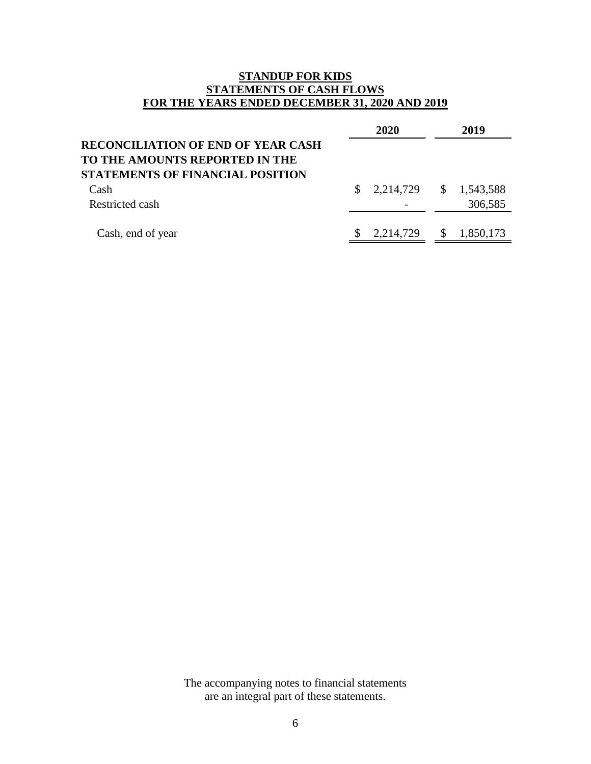## **STANDUP FOR KIDS STATEMENTS OF CASH FLOWS FOR THE YEARS ENDED DECEMBER 31, 2020 AND 2019**

|                                           | 2020                   | 2019      |
|-------------------------------------------|------------------------|-----------|
| <b>RECONCILIATION OF END OF YEAR CASH</b> |                        |           |
| TO THE AMOUNTS REPORTED IN THE            |                        |           |
| STATEMENTS OF FINANCIAL POSITION          |                        |           |
| Cash                                      | 2,214,729 \$ 1,543,588 |           |
| Restricted cash                           |                        | 306,585   |
|                                           |                        |           |
| Cash, end of year                         | 2,214,729 \$           | 1,850,173 |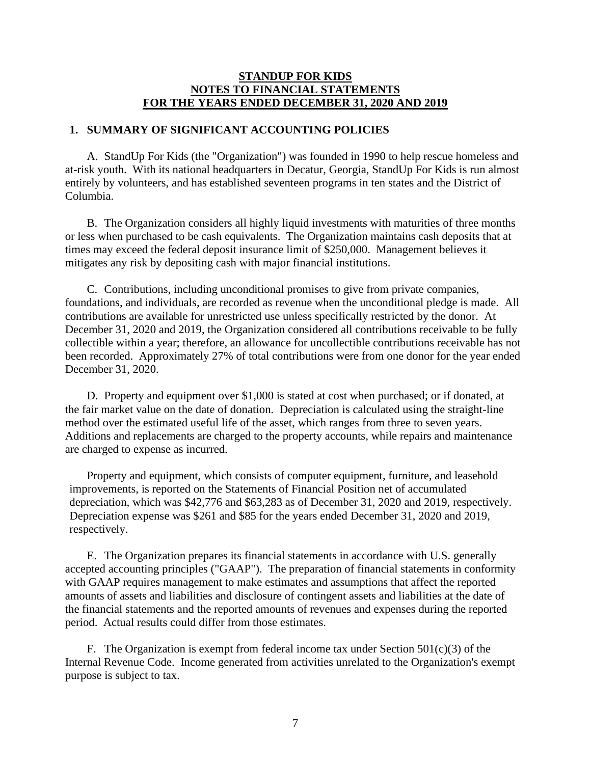#### **1. SUMMARY OF SIGNIFICANT ACCOUNTING POLICIES**

A. StandUp For Kids (the "Organization") was founded in 1990 to help rescue homeless and at-risk youth. With its national headquarters in Decatur, Georgia, StandUp For Kids is run almost entirely by volunteers, and has established seventeen programs in ten states and the District of Columbia.

B. The Organization considers all highly liquid investments with maturities of three months or less when purchased to be cash equivalents. The Organization maintains cash deposits that at times may exceed the federal deposit insurance limit of \$250,000. Management believes it mitigates any risk by depositing cash with major financial institutions.

C. Contributions, including unconditional promises to give from private companies, foundations, and individuals, are recorded as revenue when the unconditional pledge is made. All contributions are available for unrestricted use unless specifically restricted by the donor. At December 31, 2020 and 2019, the Organization considered all contributions receivable to be fully collectible within a year; therefore, an allowance for uncollectible contributions receivable has not been recorded. Approximately 27% of total contributions were from one donor for the year ended December 31, 2020.

D. Property and equipment over \$1,000 is stated at cost when purchased; or if donated, at the fair market value on the date of donation. Depreciation is calculated using the straight-line method over the estimated useful life of the asset, which ranges from three to seven years. Additions and replacements are charged to the property accounts, while repairs and maintenance are charged to expense as incurred.

Property and equipment, which consists of computer equipment, furniture, and leasehold improvements, is reported on the Statements of Financial Position net of accumulated depreciation, which was \$42,776 and \$63,283 as of December 31, 2020 and 2019, respectively. Depreciation expense was \$261 and \$85 for the years ended December 31, 2020 and 2019, respectively.

E. The Organization prepares its financial statements in accordance with U.S. generally accepted accounting principles ("GAAP"). The preparation of financial statements in conformity with GAAP requires management to make estimates and assumptions that affect the reported amounts of assets and liabilities and disclosure of contingent assets and liabilities at the date of the financial statements and the reported amounts of revenues and expenses during the reported period. Actual results could differ from those estimates.

F. The Organization is exempt from federal income tax under Section  $501(c)(3)$  of the Internal Revenue Code. Income generated from activities unrelated to the Organization's exempt purpose is subject to tax.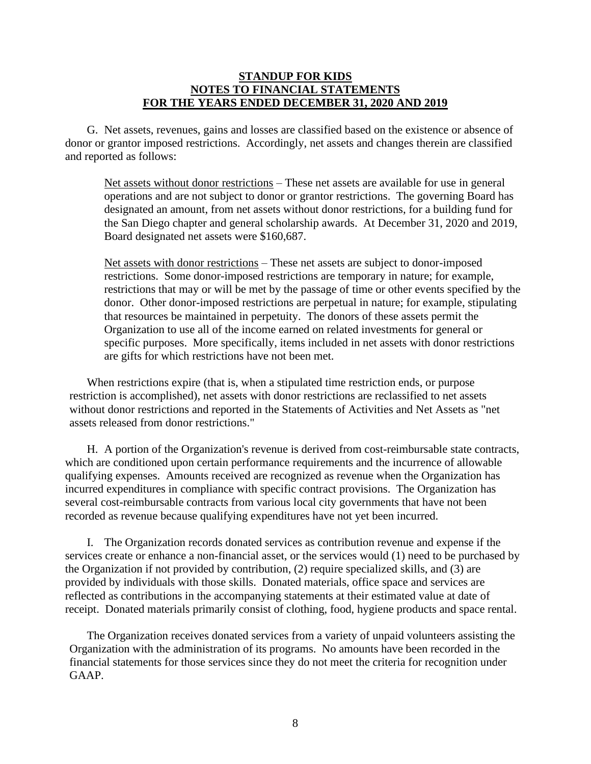G. Net assets, revenues, gains and losses are classified based on the existence or absence of donor or grantor imposed restrictions. Accordingly, net assets and changes therein are classified and reported as follows:

Net assets without donor restrictions – These net assets are available for use in general operations and are not subject to donor or grantor restrictions. The governing Board has designated an amount, from net assets without donor restrictions, for a building fund for the San Diego chapter and general scholarship awards. At December 31, 2020 and 2019, Board designated net assets were \$160,687.

Net assets with donor restrictions – These net assets are subject to donor-imposed restrictions. Some donor-imposed restrictions are temporary in nature; for example, restrictions that may or will be met by the passage of time or other events specified by the donor. Other donor-imposed restrictions are perpetual in nature; for example, stipulating that resources be maintained in perpetuity. The donors of these assets permit the Organization to use all of the income earned on related investments for general or specific purposes. More specifically, items included in net assets with donor restrictions are gifts for which restrictions have not been met.

When restrictions expire (that is, when a stipulated time restriction ends, or purpose restriction is accomplished), net assets with donor restrictions are reclassified to net assets without donor restrictions and reported in the Statements of Activities and Net Assets as "net assets released from donor restrictions."

H. A portion of the Organization's revenue is derived from cost-reimbursable state contracts, which are conditioned upon certain performance requirements and the incurrence of allowable qualifying expenses. Amounts received are recognized as revenue when the Organization has incurred expenditures in compliance with specific contract provisions. The Organization has several cost-reimbursable contracts from various local city governments that have not been recorded as revenue because qualifying expenditures have not yet been incurred.

I. The Organization records donated services as contribution revenue and expense if the services create or enhance a non-financial asset, or the services would (1) need to be purchased by the Organization if not provided by contribution, (2) require specialized skills, and (3) are provided by individuals with those skills. Donated materials, office space and services are reflected as contributions in the accompanying statements at their estimated value at date of receipt. Donated materials primarily consist of clothing, food, hygiene products and space rental.

The Organization receives donated services from a variety of unpaid volunteers assisting the Organization with the administration of its programs. No amounts have been recorded in the financial statements for those services since they do not meet the criteria for recognition under GAAP.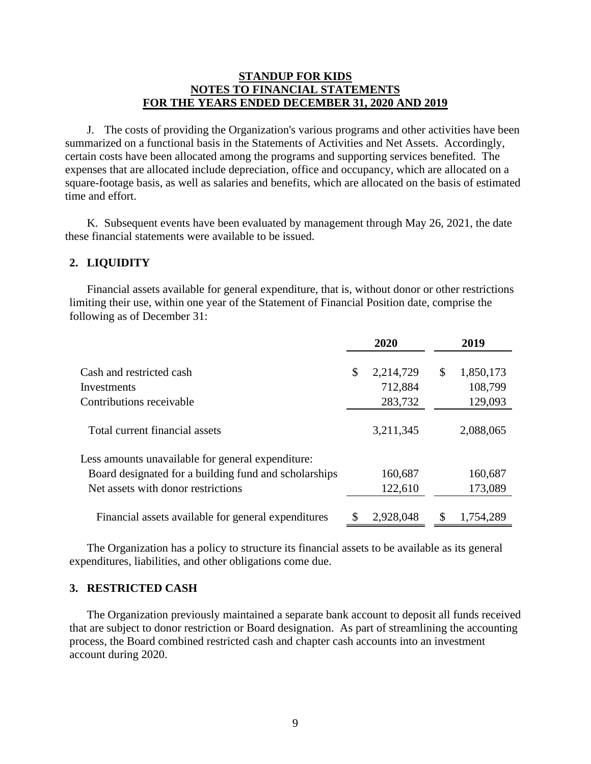J. The costs of providing the Organization's various programs and other activities have been summarized on a functional basis in the Statements of Activities and Net Assets. Accordingly, certain costs have been allocated among the programs and supporting services benefited. The expenses that are allocated include depreciation, office and occupancy, which are allocated on a square-footage basis, as well as salaries and benefits, which are allocated on the basis of estimated time and effort.

K. Subsequent events have been evaluated by management through May 26, 2021, the date these financial statements were available to be issued.

#### **2. LIQUIDITY**

Financial assets available for general expenditure, that is, without donor or other restrictions limiting their use, within one year of the Statement of Financial Position date, comprise the following as of December 31:

|                                                                                                                                                  | 2020                                  | 2019                                  |
|--------------------------------------------------------------------------------------------------------------------------------------------------|---------------------------------------|---------------------------------------|
| Cash and restricted cash<br>Investments<br>Contributions receivable                                                                              | \$<br>2,214,729<br>712,884<br>283,732 | \$<br>1,850,173<br>108,799<br>129,093 |
| Total current financial assets                                                                                                                   | 3,211,345                             | 2,088,065                             |
| Less amounts unavailable for general expenditure:<br>Board designated for a building fund and scholarships<br>Net assets with donor restrictions | 160,687<br>122,610                    | 160,687<br>173,089                    |
| Financial assets available for general expenditures                                                                                              | 2,928,048                             | 1,754,289                             |

The Organization has a policy to structure its financial assets to be available as its general expenditures, liabilities, and other obligations come due.

#### **3. RESTRICTED CASH**

The Organization previously maintained a separate bank account to deposit all funds received that are subject to donor restriction or Board designation. As part of streamlining the accounting process, the Board combined restricted cash and chapter cash accounts into an investment account during 2020.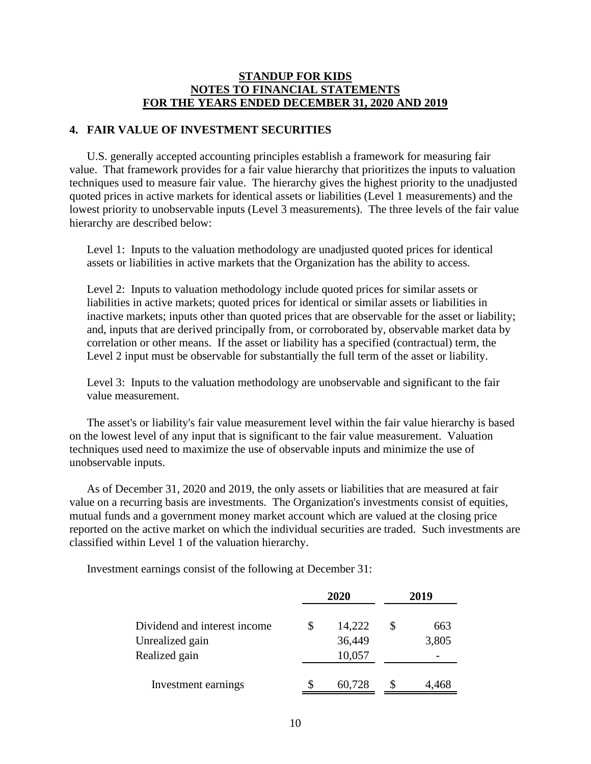#### **4. FAIR VALUE OF INVESTMENT SECURITIES**

U.S. generally accepted accounting principles establish a framework for measuring fair value. That framework provides for a fair value hierarchy that prioritizes the inputs to valuation techniques used to measure fair value. The hierarchy gives the highest priority to the unadjusted quoted prices in active markets for identical assets or liabilities (Level 1 measurements) and the lowest priority to unobservable inputs (Level 3 measurements). The three levels of the fair value hierarchy are described below:

Level 1: Inputs to the valuation methodology are unadjusted quoted prices for identical assets or liabilities in active markets that the Organization has the ability to access.

Level 2: Inputs to valuation methodology include quoted prices for similar assets or liabilities in active markets; quoted prices for identical or similar assets or liabilities in inactive markets; inputs other than quoted prices that are observable for the asset or liability; and, inputs that are derived principally from, or corroborated by, observable market data by correlation or other means. If the asset or liability has a specified (contractual) term, the Level 2 input must be observable for substantially the full term of the asset or liability.

Level 3: Inputs to the valuation methodology are unobservable and significant to the fair value measurement.

The asset's or liability's fair value measurement level within the fair value hierarchy is based on the lowest level of any input that is significant to the fair value measurement. Valuation techniques used need to maximize the use of observable inputs and minimize the use of unobservable inputs.

As of December 31, 2020 and 2019, the only assets or liabilities that are measured at fair value on a recurring basis are investments. The Organization's investments consist of equities, mutual funds and a government money market account which are valued at the closing price reported on the active market on which the individual securities are traded. Such investments are classified within Level 1 of the valuation hierarchy.

Investment earnings consist of the following at December 31:

|                              |   | 2020   | 2019  |
|------------------------------|---|--------|-------|
| Dividend and interest income | S | 14,222 | 663   |
| Unrealized gain              |   | 36,449 | 3,805 |
| Realized gain                |   | 10,057 |       |
| Investment earnings          |   | 60,728 | 4,468 |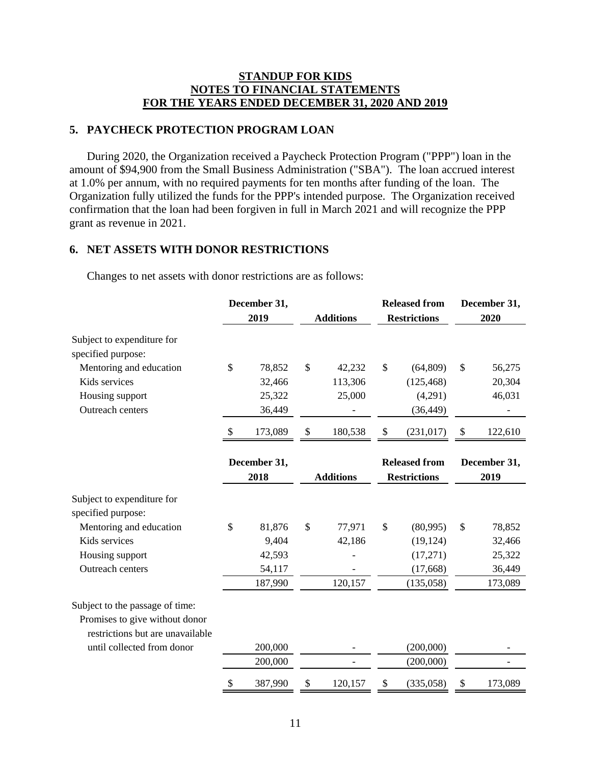### **5. PAYCHECK PROTECTION PROGRAM LOAN**

During 2020, the Organization received a Paycheck Protection Program ("PPP") loan in the amount of \$94,900 from the Small Business Administration ("SBA"). The loan accrued interest at 1.0% per annum, with no required payments for ten months after funding of the loan. The Organization fully utilized the funds for the PPP's intended purpose. The Organization received confirmation that the loan had been forgiven in full in March 2021 and will recognize the PPP grant as revenue in 2021.

### **6. NET ASSETS WITH DONOR RESTRICTIONS**

|                                                  | December 31,  |                  | <b>Released from</b> | December 31,             |
|--------------------------------------------------|---------------|------------------|----------------------|--------------------------|
|                                                  | 2019          | <b>Additions</b> | <b>Restrictions</b>  | 2020                     |
| Subject to expenditure for<br>specified purpose: |               |                  |                      |                          |
| Mentoring and education                          | \$<br>78,852  | \$<br>42,232     | \$<br>(64, 809)      | \$<br>56,275             |
| Kids services                                    | 32,466        | 113,306          | (125, 468)           | 20,304                   |
| Housing support                                  | 25,322        | 25,000           | (4,291)              | 46,031                   |
| Outreach centers                                 | 36,449        |                  | (36, 449)            |                          |
|                                                  | \$<br>173,089 | \$<br>180,538    | \$<br>(231, 017)     | \$<br>122,610            |
|                                                  | December 31,  |                  | <b>Released from</b> | December 31,             |
|                                                  | 2018          | <b>Additions</b> | <b>Restrictions</b>  | 2019                     |
| Subject to expenditure for<br>specified purpose: |               |                  |                      |                          |
| Mentoring and education                          | \$<br>81,876  | \$<br>77,971     | \$<br>(80,995)       | \$<br>78,852             |
| Kids services                                    | 9,404         | 42,186           | (19, 124)            | 32,466                   |
| Housing support                                  | 42,593        |                  | (17,271)             | 25,322                   |
| Outreach centers                                 | 54,117        |                  | (17, 668)            | 36,449                   |
|                                                  | 187,990       | 120,157          | (135,058)            | 173,089                  |
| Subject to the passage of time:                  |               |                  |                      |                          |
| Promises to give without donor                   |               |                  |                      |                          |
| restrictions but are unavailable                 |               |                  |                      |                          |
| until collected from donor                       | 200,000       |                  | (200,000)            |                          |
|                                                  | 200,000       |                  | (200,000)            | $\overline{\phantom{0}}$ |
|                                                  | \$<br>387,990 | \$<br>120,157    | \$<br>(335,058)      | \$<br>173,089            |

Changes to net assets with donor restrictions are as follows: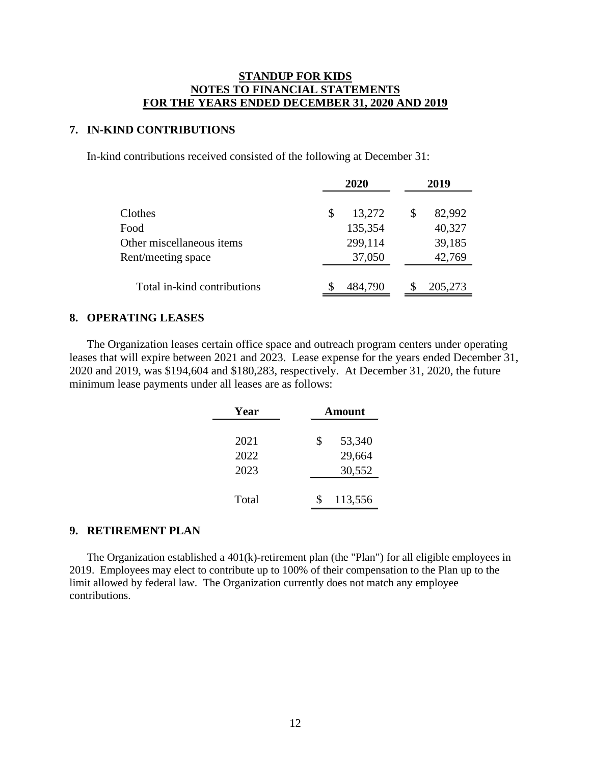#### **7. IN-KIND CONTRIBUTIONS**

In-kind contributions received consisted of the following at December 31:

|                             |   | 2020    | 2019 |         |  |
|-----------------------------|---|---------|------|---------|--|
| Clothes                     | S | 13,272  | \$   | 82,992  |  |
| Food                        |   | 135,354 |      | 40,327  |  |
| Other miscellaneous items   |   | 299,114 |      | 39,185  |  |
| Rent/meeting space          |   | 37,050  |      | 42,769  |  |
| Total in-kind contributions |   | 484,790 |      | 205,273 |  |

#### **8. OPERATING LEASES**

The Organization leases certain office space and outreach program centers under operating leases that will expire between 2021 and 2023. Lease expense for the years ended December 31, 2020 and 2019, was \$194,604 and \$180,283, respectively. At December 31, 2020, the future minimum lease payments under all leases are as follows:

| Year  | Amount       |
|-------|--------------|
| 2021  | \$<br>53,340 |
| 2022  | 29,664       |
| 2023  | 30,552       |
|       |              |
| Total | 113,556      |

### **9. RETIREMENT PLAN**

The Organization established a 401(k)-retirement plan (the "Plan") for all eligible employees in 2019. Employees may elect to contribute up to 100% of their compensation to the Plan up to the limit allowed by federal law. The Organization currently does not match any employee contributions.